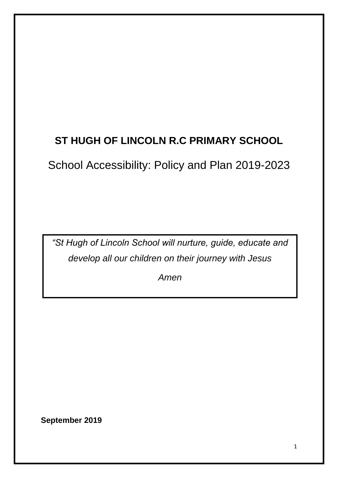# **ST HUGH OF LINCOLN R.C PRIMARY SCHOOL**

School Accessibility: Policy and Plan 2019-2023

*"St Hugh of Lincoln School will nurture, guide, educate and develop all our children on their journey with Jesus*

*Amen*

**September 2019**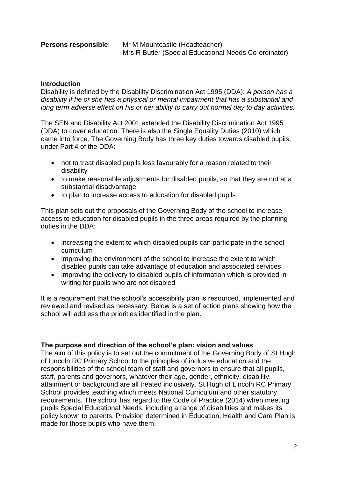**Persons responsible**: Mr M Mountcastle (Headteacher) Mrs R Butler (Special Educational Needs Co-ordinator)

# **Introduction**

Disability is defined by the Disability Discrimination Act 1995 (DDA): *A person has a disability if he or she has a physical or mental impairment that has a substantial and long term adverse effect on his or her ability to carry out normal day to day activities.*

The SEN and Disability Act 2001 extended the Disability Discrimination Act 1995 (DDA) to cover education. There is also the Single Equality Duties (2010) which came into force. The Governing Body has three key duties towards disabled pupils, under Part 4 of the DDA:

- not to treat disabled pupils less favourably for a reason related to their disability
- to make reasonable adjustments for disabled pupils, so that they are not at a substantial disadvantage
- to plan to increase access to education for disabled pupils

This plan sets out the proposals of the Governing Body of the school to increase access to education for disabled pupils in the three areas required by the planning duties in the DDA:

- increasing the extent to which disabled pupils can participate in the school curriculum
- improving the environment of the school to increase the extent to which disabled pupils can take advantage of education and associated services
- improving the delivery to disabled pupils of information which is provided in writing for pupils who are not disabled

It is a requirement that the school's accessibility plan is resourced, implemented and reviewed and revised as necessary. Below is a set of action plans showing how the school will address the priorities identified in the plan.

# **The purpose and direction of the school's plan: vision and values**

The aim of this policy is to set out the commitment of the Governing Body of St Hugh of Lincoln RC Primary School to the principles of inclusive education and the responsibilities of the school team of staff and governors to ensure that all pupils, staff, parents and governors, whatever their age, gender, ethnicity, disability, attainment or background are all treated inclusively. St Hugh of Lincoln RC Primary School provides teaching which meets National Curriculum and other statutory requirements. The school has regard to the Code of Practice (2014) when meeting pupils Special Educational Needs, including a range of disabilities and makes its policy known to parents. Provision determined in Education, Health and Care Plan is made for those pupils who have them.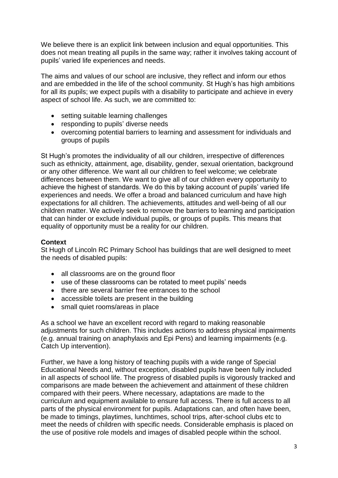We believe there is an explicit link between inclusion and equal opportunities. This does not mean treating all pupils in the same way; rather it involves taking account of pupils' varied life experiences and needs.

The aims and values of our school are inclusive, they reflect and inform our ethos and are embedded in the life of the school community. St Hugh's has high ambitions for all its pupils; we expect pupils with a disability to participate and achieve in every aspect of school life. As such, we are committed to:

- setting suitable learning challenges
- responding to pupils' diverse needs
- overcoming potential barriers to learning and assessment for individuals and groups of pupils

St Hugh's promotes the individuality of all our children, irrespective of differences such as ethnicity, attainment, age, disability, gender, sexual orientation, background or any other difference. We want all our children to feel welcome; we celebrate differences between them. We want to give all of our children every opportunity to achieve the highest of standards. We do this by taking account of pupils' varied life experiences and needs. We offer a broad and balanced curriculum and have high expectations for all children. The achievements, attitudes and well-being of all our children matter. We actively seek to remove the barriers to learning and participation that can hinder or exclude individual pupils, or groups of pupils. This means that equality of opportunity must be a reality for our children.

# **Context**

St Hugh of Lincoln RC Primary School has buildings that are well designed to meet the needs of disabled pupils:

- all classrooms are on the ground floor
- use of these classrooms can be rotated to meet pupils' needs
- there are several barrier free entrances to the school
- accessible toilets are present in the building
- small quiet rooms/areas in place

As a school we have an excellent record with regard to making reasonable adjustments for such children. This includes actions to address physical impairments (e.g. annual training on anaphylaxis and Epi Pens) and learning impairments (e.g. Catch Up intervention).

Further, we have a long history of teaching pupils with a wide range of Special Educational Needs and, without exception, disabled pupils have been fully included in all aspects of school life. The progress of disabled pupils is vigorously tracked and comparisons are made between the achievement and attainment of these children compared with their peers. Where necessary, adaptations are made to the curriculum and equipment available to ensure full access. There is full access to all parts of the physical environment for pupils. Adaptations can, and often have been, be made to timings, playtimes, lunchtimes, school trips, after-school clubs etc to meet the needs of children with specific needs. Considerable emphasis is placed on the use of positive role models and images of disabled people within the school.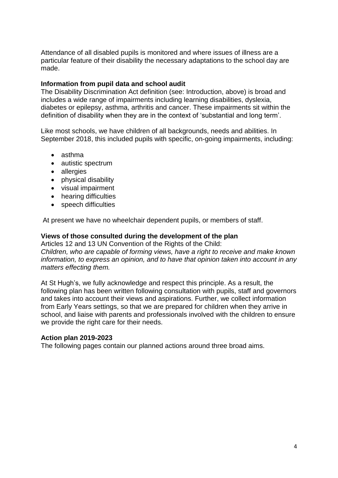Attendance of all disabled pupils is monitored and where issues of illness are a particular feature of their disability the necessary adaptations to the school day are made.

## **Information from pupil data and school audit**

The Disability Discrimination Act definition (see: Introduction, above) is broad and includes a wide range of impairments including learning disabilities, dyslexia, diabetes or epilepsy, asthma, arthritis and cancer. These impairments sit within the definition of disability when they are in the context of 'substantial and long term'.

Like most schools, we have children of all backgrounds, needs and abilities. In September 2018, this included pupils with specific, on-going impairments, including:

- asthma
- autistic spectrum
- allergies
- physical disability
- visual impairment
- hearing difficulties
- speech difficulties

At present we have no wheelchair dependent pupils, or members of staff.

### **Views of those consulted during the development of the plan**

Articles 12 and 13 UN Convention of the Rights of the Child:

*Children, who are capable of forming views, have a right to receive and make known information, to express an opinion, and to have that opinion taken into account in any matters effecting them.* 

At St Hugh's, we fully acknowledge and respect this principle. As a result, the following plan has been written following consultation with pupils, staff and governors and takes into account their views and aspirations. Further, we collect information from Early Years settings, so that we are prepared for children when they arrive in school, and liaise with parents and professionals involved with the children to ensure we provide the right care for their needs.

#### **Action plan 2019-2023**

The following pages contain our planned actions around three broad aims.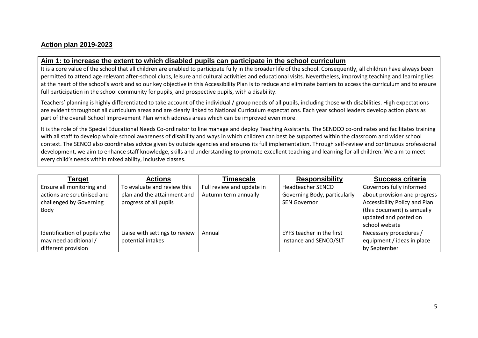# **Action plan 2019-2023**

### **Aim 1: to increase the extent to which disabled pupils can participate in the school curriculum**

It is a core value of the school that all children are enabled to participate fully in the broader life of the school. Consequently, all children have always been permitted to attend age relevant after-school clubs, leisure and cultural activities and educational visits. Nevertheless, improving teaching and learning lies at the heart of the school's work and so our key objective in this Accessibility Plan is to reduce and eliminate barriers to access the curriculum and to ensure full participation in the school community for pupils, and prospective pupils, with a disability.

Teachers' planning is highly differentiated to take account of the individual / group needs of all pupils, including those with disabilities. High expectations are evident throughout all curriculum areas and are clearly linked to National Curriculum expectations. Each year school leaders develop action plans as part of the overall School Improvement Plan which address areas which can be improved even more.

It is the role of the Special Educational Needs Co-ordinator to line manage and deploy Teaching Assistants. The SENDCO co-ordinates and facilitates training with all staff to develop whole school awareness of disability and ways in which children can best be supported within the classroom and wider school context. The SENCO also coordinates advice given by outside agencies and ensures its full implementation. Through self-review and continuous professional development, we aim to enhance staff knowledge, skills and understanding to promote excellent teaching and learning for all children. We aim to meet every child's needs within mixed ability, inclusive classes.

| Target                                                                                      | <b>Actions</b>                                                                       | Timescale                                         | <b>Responsibility</b>                                                           | <b>Success criteria</b>                                                                                                  |
|---------------------------------------------------------------------------------------------|--------------------------------------------------------------------------------------|---------------------------------------------------|---------------------------------------------------------------------------------|--------------------------------------------------------------------------------------------------------------------------|
| Ensure all monitoring and<br>actions are scrutinised and<br>challenged by Governing<br>Body | To evaluate and review this<br>plan and the attainment and<br>progress of all pupils | Full review and update in<br>Autumn term annually | <b>Headteacher SENCO</b><br>Governing Body, particularly<br><b>SEN Governor</b> | Governors fully informed<br>about provision and progress<br>Accessibility Policy and Plan<br>(this document) is annually |
|                                                                                             |                                                                                      |                                                   |                                                                                 | updated and posted on<br>school website                                                                                  |
| Identification of pupils who<br>may need additional /<br>different provision                | Liaise with settings to review<br>potential intakes                                  | Annual                                            | EYFS teacher in the first<br>instance and SENCO/SLT                             | Necessary procedures /<br>equipment / ideas in place<br>by September                                                     |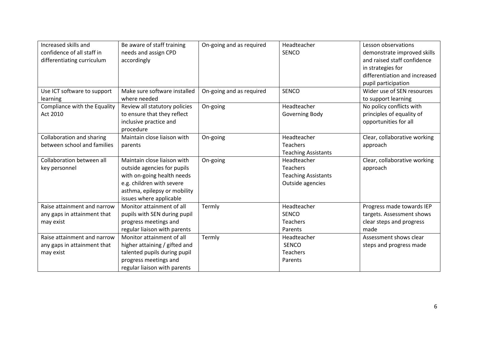| Increased skills and         | Be aware of staff training    | On-going and as required | Headteacher                | Lesson observations           |
|------------------------------|-------------------------------|--------------------------|----------------------------|-------------------------------|
| confidence of all staff in   | needs and assign CPD          |                          | <b>SENCO</b>               | demonstrate improved skills   |
| differentiating curriculum   | accordingly                   |                          |                            | and raised staff confidence   |
|                              |                               |                          |                            | in strategies for             |
|                              |                               |                          |                            | differentiation and increased |
|                              |                               |                          |                            | pupil participation           |
| Use ICT software to support  | Make sure software installed  | On-going and as required | <b>SENCO</b>               | Wider use of SEN resources    |
| learning                     | where needed                  |                          |                            | to support learning           |
| Compliance with the Equality | Review all statutory policies | On-going                 | Headteacher                | No policy conflicts with      |
| Act 2010                     | to ensure that they reflect   |                          | Governing Body             | principles of equality of     |
|                              | inclusive practice and        |                          |                            | opportunities for all         |
|                              | procedure                     |                          |                            |                               |
| Collaboration and sharing    | Maintain close liaison with   | On-going                 | Headteacher                | Clear, collaborative working  |
| between school and families  | parents                       |                          | Teachers                   | approach                      |
|                              |                               |                          | <b>Teaching Assistants</b> |                               |
| Collaboration between all    | Maintain close liaison with   | On-going                 | Headteacher                | Clear, collaborative working  |
| key personnel                | outside agencies for pupils   |                          | Teachers                   | approach                      |
|                              | with on-going health needs    |                          | <b>Teaching Assistants</b> |                               |
|                              | e.g. children with severe     |                          | Outside agencies           |                               |
|                              | asthma, epilepsy or mobility  |                          |                            |                               |
|                              | issues where applicable       |                          |                            |                               |
| Raise attainment and narrow  | Monitor attainment of all     | Termly                   | Headteacher                | Progress made towards IEP     |
| any gaps in attainment that  | pupils with SEN during pupil  |                          | <b>SENCO</b>               | targets. Assessment shows     |
| may exist                    | progress meetings and         |                          | Teachers                   | clear steps and progress      |
|                              | regular liaison with parents  |                          | Parents                    | made                          |
| Raise attainment and narrow  | Monitor attainment of all     | Termly                   | Headteacher                | Assessment shows clear        |
| any gaps in attainment that  | higher attaining / gifted and |                          | <b>SENCO</b>               | steps and progress made       |
| may exist                    | talented pupils during pupil  |                          | Teachers                   |                               |
|                              | progress meetings and         |                          | Parents                    |                               |
|                              | regular liaison with parents  |                          |                            |                               |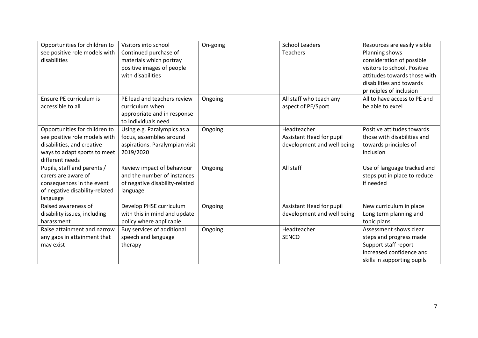| Opportunities for children to<br>see positive role models with<br>disabilities                                                                  | Visitors into school<br>Continued purchase of<br>materials which portray<br>positive images of people<br>with disabilities | On-going | <b>School Leaders</b><br><b>Teachers</b>                              | Resources are easily visible<br>Planning shows<br>consideration of possible<br>visitors to school. Positive<br>attitudes towards those with<br>disabilities and towards<br>principles of inclusion |
|-------------------------------------------------------------------------------------------------------------------------------------------------|----------------------------------------------------------------------------------------------------------------------------|----------|-----------------------------------------------------------------------|----------------------------------------------------------------------------------------------------------------------------------------------------------------------------------------------------|
| Ensure PE curriculum is<br>accessible to all                                                                                                    | PE lead and teachers review<br>curriculum when<br>appropriate and in response<br>to individuals need                       | Ongoing  | All staff who teach any<br>aspect of PE/Sport                         | All to have access to PE and<br>be able to excel                                                                                                                                                   |
| Opportunities for children to<br>see positive role models with<br>disabilities, and creative<br>ways to adapt sports to meet<br>different needs | Using e.g. Paralympics as a<br>focus, assemblies around<br>aspirations. Paralympian visit<br>2019/2020                     | Ongoing  | Headteacher<br>Assistant Head for pupil<br>development and well being | Positive attitudes towards<br>those with disabilities and<br>towards principles of<br>inclusion                                                                                                    |
| Pupils, staff and parents /<br>carers are aware of<br>consequences in the event<br>of negative disability-related<br>language                   | Review impact of behaviour<br>and the number of instances<br>of negative disability-related<br>language                    | Ongoing  | All staff                                                             | Use of language tracked and<br>steps put in place to reduce<br>if needed                                                                                                                           |
| Raised awareness of<br>disability issues, including<br>harassment                                                                               | Develop PHSE curriculum<br>with this in mind and update<br>policy where applicable                                         | Ongoing  | Assistant Head for pupil<br>development and well being                | New curriculum in place<br>Long term planning and<br>topic plans                                                                                                                                   |
| Raise attainment and narrow<br>any gaps in attainment that<br>may exist                                                                         | Buy services of additional<br>speech and language<br>therapy                                                               | Ongoing  | Headteacher<br><b>SENCO</b>                                           | Assessment shows clear<br>steps and progress made<br>Support staff report<br>increased confidence and<br>skills in supporting pupils                                                               |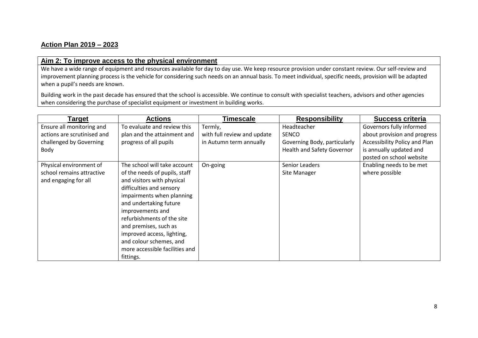# **Action Plan 2019 – 2023**

# **Aim 2: To improve access to the physical environment**

We have a wide range of equipment and resources available for day to day use. We keep resource provision under constant review. Our self-review and improvement planning process is the vehicle for considering such needs on an annual basis. To meet individual, specific needs, provision will be adapted when a pupil's needs are known.

Building work in the past decade has ensured that the school is accessible. We continue to consult with specialist teachers, advisors and other agencies when considering the purchase of specialist equipment or investment in building works.

| Target                      | <b>Actions</b>                 | Timescale                   | <b>Responsibility</b>             | <b>Success criteria</b>       |
|-----------------------------|--------------------------------|-----------------------------|-----------------------------------|-------------------------------|
| Ensure all monitoring and   | To evaluate and review this    | Termly,                     | Headteacher                       | Governors fully informed      |
| actions are scrutinised and | plan and the attainment and    | with full review and update | <b>SENCO</b>                      | about provision and progress  |
| challenged by Governing     | progress of all pupils         | in Autumn term annually     | Governing Body, particularly      | Accessibility Policy and Plan |
| Body                        |                                |                             | <b>Health and Safety Governor</b> | is annually updated and       |
|                             |                                |                             |                                   | posted on school website      |
| Physical environment of     | The school will take account   | On-going                    | Senior Leaders                    | Enabling needs to be met      |
| school remains attractive   | of the needs of pupils, staff  |                             | Site Manager                      | where possible                |
| and engaging for all        | and visitors with physical     |                             |                                   |                               |
|                             | difficulties and sensory       |                             |                                   |                               |
|                             | impairments when planning      |                             |                                   |                               |
|                             | and undertaking future         |                             |                                   |                               |
|                             | improvements and               |                             |                                   |                               |
|                             | refurbishments of the site     |                             |                                   |                               |
|                             | and premises, such as          |                             |                                   |                               |
|                             | improved access, lighting,     |                             |                                   |                               |
|                             | and colour schemes, and        |                             |                                   |                               |
|                             | more accessible facilities and |                             |                                   |                               |
|                             | fittings.                      |                             |                                   |                               |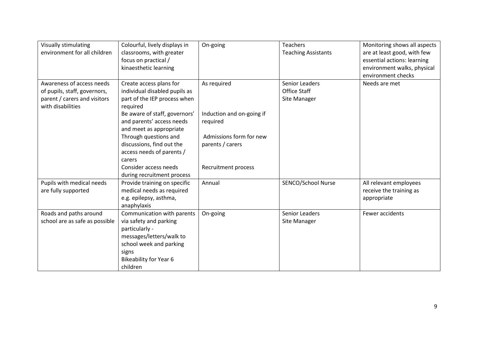| Visually stimulating<br>environment for all children                                                           | Colourful, lively displays in<br>classrooms, with greater<br>focus on practical /<br>kinaesthetic learning                                                                          | On-going                                    | <b>Teachers</b><br><b>Teaching Assistants</b>         | Monitoring shows all aspects<br>are at least good, with few<br>essential actions: learning<br>environment walks, physical<br>environment checks |
|----------------------------------------------------------------------------------------------------------------|-------------------------------------------------------------------------------------------------------------------------------------------------------------------------------------|---------------------------------------------|-------------------------------------------------------|-------------------------------------------------------------------------------------------------------------------------------------------------|
| Awareness of access needs<br>of pupils, staff, governors,<br>parent / carers and visitors<br>with disabilities | Create access plans for<br>individual disabled pupils as<br>part of the IEP process when<br>required                                                                                | As required                                 | Senior Leaders<br><b>Office Staff</b><br>Site Manager | Needs are met                                                                                                                                   |
|                                                                                                                | Be aware of staff, governors'<br>and parents' access needs<br>and meet as appropriate                                                                                               | Induction and on-going if<br>required       |                                                       |                                                                                                                                                 |
|                                                                                                                | Through questions and<br>discussions, find out the<br>access needs of parents /                                                                                                     | Admissions form for new<br>parents / carers |                                                       |                                                                                                                                                 |
|                                                                                                                | carers<br>Consider access needs<br>during recruitment process                                                                                                                       | Recruitment process                         |                                                       |                                                                                                                                                 |
| Pupils with medical needs<br>are fully supported                                                               | Provide training on specific<br>medical needs as required<br>e.g. epilepsy, asthma,<br>anaphylaxis                                                                                  | Annual                                      | SENCO/School Nurse                                    | All relevant employees<br>receive the training as<br>appropriate                                                                                |
| Roads and paths around<br>school are as safe as possible                                                       | Communication with parents<br>via safety and parking<br>particularly -<br>messages/letters/walk to<br>school week and parking<br>signs<br><b>Bikeability for Year 6</b><br>children | On-going                                    | Senior Leaders<br>Site Manager                        | Fewer accidents                                                                                                                                 |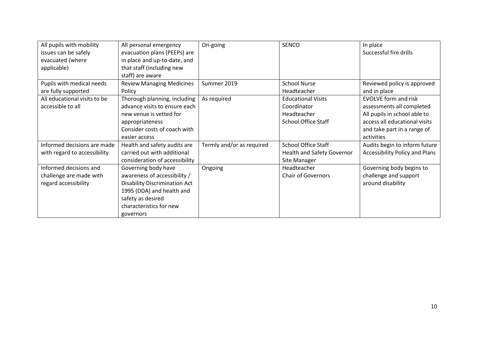| All pupils with mobility     | All personal emergency               | On-going                  | <b>SENCO</b>               | In place                              |
|------------------------------|--------------------------------------|---------------------------|----------------------------|---------------------------------------|
| issues can be safely         | evacuation plans (PEEPs) are         |                           |                            | Successful fire drills                |
| evacuated (where             | in place and up-to-date, and         |                           |                            |                                       |
| applicable)                  | that staff (including new            |                           |                            |                                       |
|                              | staff) are aware                     |                           |                            |                                       |
| Pupils with medical needs    | <b>Review Managing Medicines</b>     | Summer 2019               | <b>School Nurse</b>        | Reviewed policy is approved           |
| are fully supported          | Policy                               |                           | Headteacher                | and in place                          |
| All educational visits to be | Thorough planning, including         | As required               | <b>Educational Visits</b>  | <b>EVOLVE</b> form and risk           |
| accessible to all            | advance visits to ensure each        |                           | Coordinator                | assessments all completed             |
|                              | new venue is vetted for              |                           | Headteacher                | All pupils in school able to          |
|                              | appropriateness                      |                           | <b>School Office Staff</b> | access all educational visits         |
|                              | Consider costs of coach with         |                           |                            | and take part in a range of           |
|                              | easier access                        |                           |                            | activities                            |
| Informed decisions are made  | Health and safety audits are         | Termly and/or as required | <b>School Office Staff</b> | Audits begin to inform future         |
| with regard to accessibility | carried out with additional          |                           | Health and Safety Governor | <b>Accessibility Policy and Plans</b> |
|                              | consideration of accessibility       |                           | Site Manager               |                                       |
| Informed decisions and       | Governing body have                  | Ongoing                   | Headteacher                | Governing body begins to              |
| challenge are made with      | awareness of accessibility /         |                           | <b>Chair of Governors</b>  | challenge and support                 |
| regard accessibility         | <b>Disability Discrimination Act</b> |                           |                            | around disability                     |
|                              | 1995 (DDA) and health and            |                           |                            |                                       |
|                              | safety as desired                    |                           |                            |                                       |
|                              | characteristics for new              |                           |                            |                                       |
|                              | governors                            |                           |                            |                                       |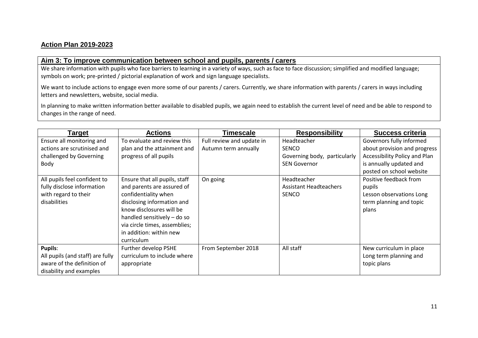# **Action Plan 2019-2023**

#### **Aim 3: To improve communication between school and pupils, parents / carers**

We share information with pupils who face barriers to learning in a variety of ways, such as face to face discussion; simplified and modified language; symbols on work; pre-printed / pictorial explanation of work and sign language specialists.

We want to include actions to engage even more some of our parents / carers. Currently, we share information with parents / carers in ways including letters and newsletters, website, social media.

In planning to make written information better available to disabled pupils, we again need to establish the current level of need and be able to respond to changes in the range of need.

| Target                                                                                                                                                                                            | <b>Actions</b>                                                                                                                                                                                                                                                                                                                   | Timescale                                                     | <b>Responsibility</b>                                                                                                                       | <b>Success criteria</b>                                                                                                                                                                                                                              |
|---------------------------------------------------------------------------------------------------------------------------------------------------------------------------------------------------|----------------------------------------------------------------------------------------------------------------------------------------------------------------------------------------------------------------------------------------------------------------------------------------------------------------------------------|---------------------------------------------------------------|---------------------------------------------------------------------------------------------------------------------------------------------|------------------------------------------------------------------------------------------------------------------------------------------------------------------------------------------------------------------------------------------------------|
| Ensure all monitoring and<br>actions are scrutinised and<br>challenged by Governing<br>Body<br>All pupils feel confident to<br>fully disclose information<br>with regard to their<br>disabilities | To evaluate and review this<br>plan and the attainment and<br>progress of all pupils<br>Ensure that all pupils, staff<br>and parents are assured of<br>confidentiality when<br>disclosing information and<br>know disclosures will be<br>handled sensitively - do so<br>via circle times, assemblies;<br>in addition: within new | Full review and update in<br>Autumn term annually<br>On going | Headteacher<br><b>SENCO</b><br>Governing body, particularly<br><b>SEN Governor</b><br>Headteacher<br>Assistant Headteachers<br><b>SENCO</b> | Governors fully informed<br>about provision and progress<br>Accessibility Policy and Plan<br>is annually updated and<br>posted on school website<br>Positive feedback from<br>pupils<br>Lesson observations Long<br>term planning and topic<br>plans |
| <b>Pupils:</b>                                                                                                                                                                                    | curriculum                                                                                                                                                                                                                                                                                                                       | From September 2018                                           | All staff                                                                                                                                   |                                                                                                                                                                                                                                                      |
| All pupils (and staff) are fully<br>aware of the definition of<br>disability and examples                                                                                                         | Further develop PSHE<br>curriculum to include where<br>appropriate                                                                                                                                                                                                                                                               |                                                               |                                                                                                                                             | New curriculum in place<br>Long term planning and<br>topic plans                                                                                                                                                                                     |